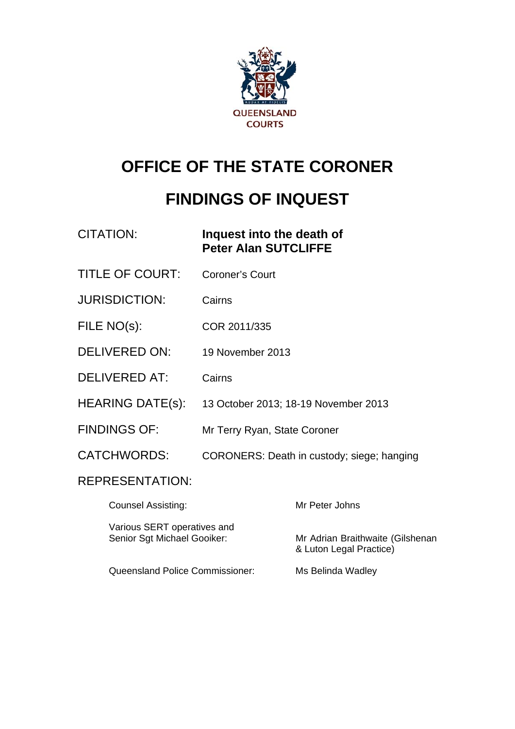

# **OFFICE OF THE STATE CORONER**

# **FINDINGS OF INQUEST**

| <b>CITATION:</b>                                           | Inquest into the death of<br><b>Peter Alan SUTCLIFFE</b> |                                                             |
|------------------------------------------------------------|----------------------------------------------------------|-------------------------------------------------------------|
| <b>TITLE OF COURT:</b>                                     | <b>Coroner's Court</b>                                   |                                                             |
| <b>JURISDICTION:</b>                                       | Cairns                                                   |                                                             |
| FILE NO(s):                                                | COR 2011/335                                             |                                                             |
| DELIVERED ON:                                              | 19 November 2013                                         |                                                             |
| <b>DELIVERED AT:</b>                                       | Cairns                                                   |                                                             |
| <b>HEARING DATE(s):</b>                                    |                                                          | 13 October 2013; 18-19 November 2013                        |
| <b>FINDINGS OF:</b>                                        | Mr Terry Ryan, State Coroner                             |                                                             |
| <b>CATCHWORDS:</b>                                         |                                                          | CORONERS: Death in custody; siege; hanging                  |
| <b>REPRESENTATION:</b>                                     |                                                          |                                                             |
| <b>Counsel Assisting:</b>                                  |                                                          | Mr Peter Johns                                              |
| Various SERT operatives and<br>Senior Sgt Michael Gooiker: |                                                          | Mr Adrian Braithwaite (Gilshenan<br>& Luton Legal Practice) |
| <b>Queensland Police Commissioner:</b>                     |                                                          | Ms Belinda Wadley                                           |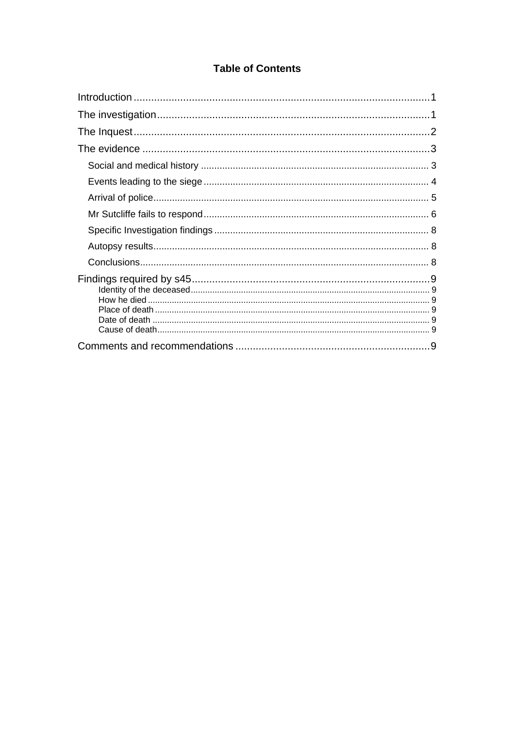# **Table of Contents**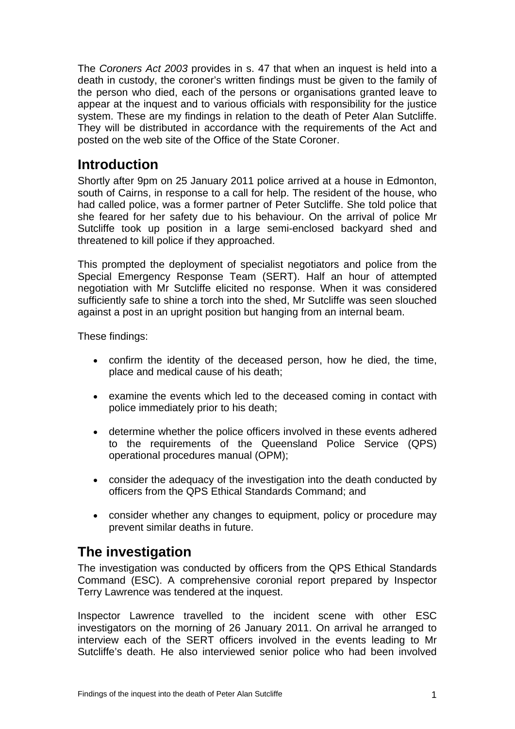The *Coroners Act 2003* provides in s. 47 that when an inquest is held into a death in custody, the coroner's written findings must be given to the family of the person who died, each of the persons or organisations granted leave to appear at the inquest and to various officials with responsibility for the justice system. These are my findings in relation to the death of Peter Alan Sutcliffe. They will be distributed in accordance with the requirements of the Act and posted on the web site of the Office of the State Coroner.

# <span id="page-2-0"></span>**Introduction**

Shortly after 9pm on 25 January 2011 police arrived at a house in Edmonton, south of Cairns, in response to a call for help. The resident of the house, who had called police, was a former partner of Peter Sutcliffe. She told police that she feared for her safety due to his behaviour. On the arrival of police Mr Sutcliffe took up position in a large semi-enclosed backyard shed and threatened to kill police if they approached.

This prompted the deployment of specialist negotiators and police from the Special Emergency Response Team (SERT). Half an hour of attempted negotiation with Mr Sutcliffe elicited no response. When it was considered sufficiently safe to shine a torch into the shed, Mr Sutcliffe was seen slouched against a post in an upright position but hanging from an internal beam.

These findings:

- confirm the identity of the deceased person, how he died, the time, place and medical cause of his death;
- examine the events which led to the deceased coming in contact with police immediately prior to his death;
- determine whether the police officers involved in these events adhered to the requirements of the Queensland Police Service (QPS) operational procedures manual (OPM);
- consider the adequacy of the investigation into the death conducted by officers from the QPS Ethical Standards Command; and
- consider whether any changes to equipment, policy or procedure may prevent similar deaths in future.

# <span id="page-2-1"></span>**The investigation**

The investigation was conducted by officers from the QPS Ethical Standards Command (ESC). A comprehensive coronial report prepared by Inspector Terry Lawrence was tendered at the inquest.

<span id="page-2-2"></span>Inspector Lawrence travelled to the incident scene with other ESC investigators on the morning of 26 January 2011. On arrival he arranged to interview each of the SERT officers involved in the events leading to Mr Sutcliffe's death. He also interviewed senior police who had been involved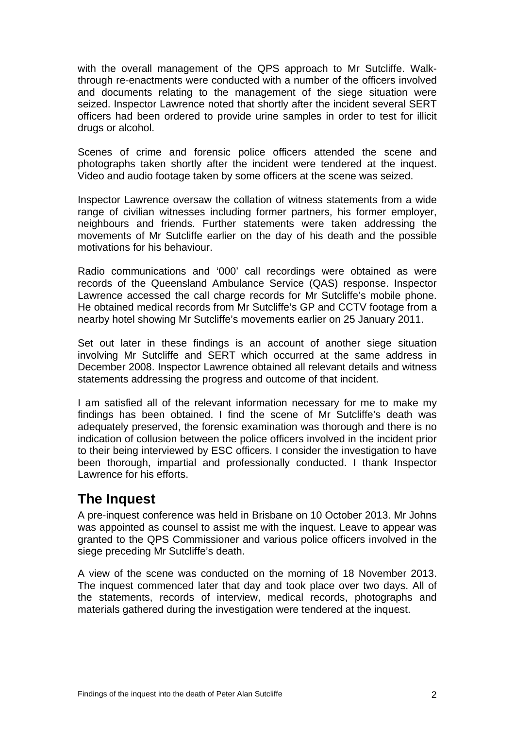with the overall management of the QPS approach to Mr Sutcliffe. Walkthrough re-enactments were conducted with a number of the officers involved and documents relating to the management of the siege situation were seized. Inspector Lawrence noted that shortly after the incident several SERT officers had been ordered to provide urine samples in order to test for illicit drugs or alcohol.

Scenes of crime and forensic police officers attended the scene and photographs taken shortly after the incident were tendered at the inquest. Video and audio footage taken by some officers at the scene was seized.

Inspector Lawrence oversaw the collation of witness statements from a wide range of civilian witnesses including former partners, his former employer, neighbours and friends. Further statements were taken addressing the movements of Mr Sutcliffe earlier on the day of his death and the possible motivations for his behaviour.

Radio communications and '000' call recordings were obtained as were records of the Queensland Ambulance Service (QAS) response. Inspector Lawrence accessed the call charge records for Mr Sutcliffe's mobile phone. He obtained medical records from Mr Sutcliffe's GP and CCTV footage from a nearby hotel showing Mr Sutcliffe's movements earlier on 25 January 2011.

Set out later in these findings is an account of another siege situation involving Mr Sutcliffe and SERT which occurred at the same address in December 2008. Inspector Lawrence obtained all relevant details and witness statements addressing the progress and outcome of that incident.

I am satisfied all of the relevant information necessary for me to make my findings has been obtained. I find the scene of Mr Sutcliffe's death was adequately preserved, the forensic examination was thorough and there is no indication of collusion between the police officers involved in the incident prior to their being interviewed by ESC officers. I consider the investigation to have been thorough, impartial and professionally conducted. I thank Inspector Lawrence for his efforts.

# <span id="page-3-0"></span>**The Inquest**

A pre-inquest conference was held in Brisbane on 10 October 2013. Mr Johns was appointed as counsel to assist me with the inquest. Leave to appear was granted to the QPS Commissioner and various police officers involved in the siege preceding Mr Sutcliffe's death.

A view of the scene was conducted on the morning of 18 November 2013. The inquest commenced later that day and took place over two days. All of the statements, records of interview, medical records, photographs and materials gathered during the investigation were tendered at the inquest.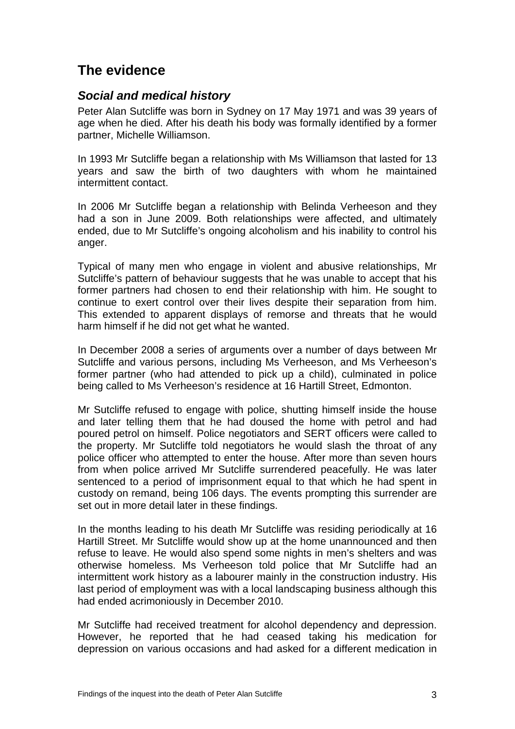# <span id="page-4-0"></span>**The evidence**

## <span id="page-4-1"></span>*Social and medical history*

Peter Alan Sutcliffe was born in Sydney on 17 May 1971 and was 39 years of age when he died. After his death his body was formally identified by a former partner, Michelle Williamson.

In 1993 Mr Sutcliffe began a relationship with Ms Williamson that lasted for 13 years and saw the birth of two daughters with whom he maintained intermittent contact.

In 2006 Mr Sutcliffe began a relationship with Belinda Verheeson and they had a son in June 2009. Both relationships were affected, and ultimately ended, due to Mr Sutcliffe's ongoing alcoholism and his inability to control his anger.

Typical of many men who engage in violent and abusive relationships, Mr Sutcliffe's pattern of behaviour suggests that he was unable to accept that his former partners had chosen to end their relationship with him. He sought to continue to exert control over their lives despite their separation from him. This extended to apparent displays of remorse and threats that he would harm himself if he did not get what he wanted.

In December 2008 a series of arguments over a number of days between Mr Sutcliffe and various persons, including Ms Verheeson, and Ms Verheeson's former partner (who had attended to pick up a child), culminated in police being called to Ms Verheeson's residence at 16 Hartill Street, Edmonton.

Mr Sutcliffe refused to engage with police, shutting himself inside the house and later telling them that he had doused the home with petrol and had poured petrol on himself. Police negotiators and SERT officers were called to the property. Mr Sutcliffe told negotiators he would slash the throat of any police officer who attempted to enter the house. After more than seven hours from when police arrived Mr Sutcliffe surrendered peacefully. He was later sentenced to a period of imprisonment equal to that which he had spent in custody on remand, being 106 days. The events prompting this surrender are set out in more detail later in these findings.

In the months leading to his death Mr Sutcliffe was residing periodically at 16 Hartill Street. Mr Sutcliffe would show up at the home unannounced and then refuse to leave. He would also spend some nights in men's shelters and was otherwise homeless. Ms Verheeson told police that Mr Sutcliffe had an intermittent work history as a labourer mainly in the construction industry. His last period of employment was with a local landscaping business although this had ended acrimoniously in December 2010.

Mr Sutcliffe had received treatment for alcohol dependency and depression. However, he reported that he had ceased taking his medication for depression on various occasions and had asked for a different medication in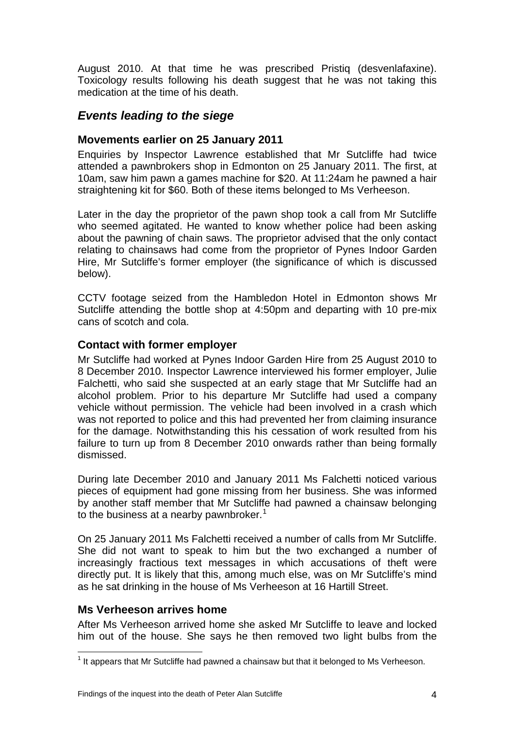August 2010. At that time he was prescribed Pristiq (desvenlafaxine). Toxicology results following his death suggest that he was not taking this medication at the time of his death.

### <span id="page-5-0"></span>*Events leading to the siege*

#### **Movements earlier on 25 January 2011**

Enquiries by Inspector Lawrence established that Mr Sutcliffe had twice attended a pawnbrokers shop in Edmonton on 25 January 2011. The first, at 10am, saw him pawn a games machine for \$20. At 11:24am he pawned a hair straightening kit for \$60. Both of these items belonged to Ms Verheeson.

Later in the day the proprietor of the pawn shop took a call from Mr Sutcliffe who seemed agitated. He wanted to know whether police had been asking about the pawning of chain saws. The proprietor advised that the only contact relating to chainsaws had come from the proprietor of Pynes Indoor Garden Hire, Mr Sutcliffe's former employer (the significance of which is discussed below).

CCTV footage seized from the Hambledon Hotel in Edmonton shows Mr Sutcliffe attending the bottle shop at 4:50pm and departing with 10 pre-mix cans of scotch and cola.

#### **Contact with former employer**

Mr Sutcliffe had worked at Pynes Indoor Garden Hire from 25 August 2010 to 8 December 2010. Inspector Lawrence interviewed his former employer, Julie Falchetti, who said she suspected at an early stage that Mr Sutcliffe had an alcohol problem. Prior to his departure Mr Sutcliffe had used a company vehicle without permission. The vehicle had been involved in a crash which was not reported to police and this had prevented her from claiming insurance for the damage. Notwithstanding this his cessation of work resulted from his failure to turn up from 8 December 2010 onwards rather than being formally dismissed.

During late December 2010 and January 2011 Ms Falchetti noticed various pieces of equipment had gone missing from her business. She was informed by another staff member that Mr Sutcliffe had pawned a chainsaw belonging to the business at a nearby pawnbroker.<sup>[1](#page-2-2)</sup>

On 25 January 2011 Ms Falchetti received a number of calls from Mr Sutcliffe. She did not want to speak to him but the two exchanged a number of increasingly fractious text messages in which accusations of theft were directly put. It is likely that this, among much else, was on Mr Sutcliffe's mind as he sat drinking in the house of Ms Verheeson at 16 Hartill Street.

#### **Ms Verheeson arrives home**

After Ms Verheeson arrived home she asked Mr Sutcliffe to leave and locked him out of the house. She says he then removed two light bulbs from the

 $<sup>1</sup>$  It appears that Mr Sutcliffe had pawned a chainsaw but that it belonged to Ms Verheeson.</sup>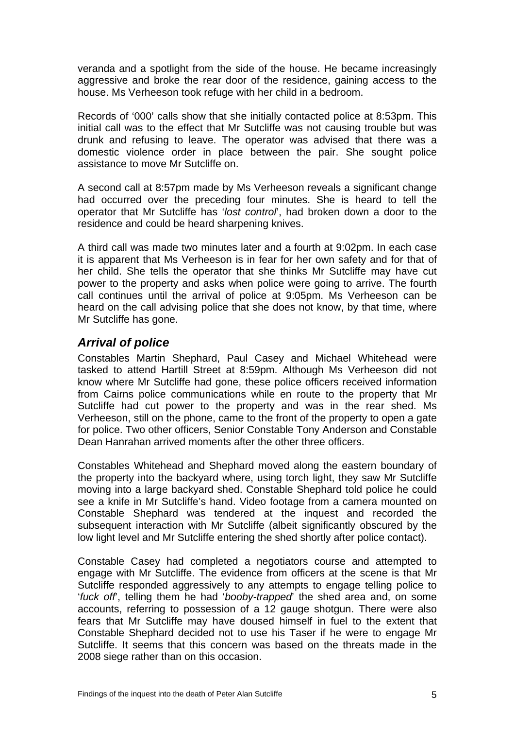veranda and a spotlight from the side of the house. He became increasingly aggressive and broke the rear door of the residence, gaining access to the house. Ms Verheeson took refuge with her child in a bedroom.

Records of '000' calls show that she initially contacted police at 8:53pm. This initial call was to the effect that Mr Sutcliffe was not causing trouble but was drunk and refusing to leave. The operator was advised that there was a domestic violence order in place between the pair. She sought police assistance to move Mr Sutcliffe on.

A second call at 8:57pm made by Ms Verheeson reveals a significant change had occurred over the preceding four minutes. She is heard to tell the operator that Mr Sutcliffe has '*lost control*', had broken down a door to the residence and could be heard sharpening knives.

A third call was made two minutes later and a fourth at 9:02pm. In each case it is apparent that Ms Verheeson is in fear for her own safety and for that of her child. She tells the operator that she thinks Mr Sutcliffe may have cut power to the property and asks when police were going to arrive. The fourth call continues until the arrival of police at 9:05pm. Ms Verheeson can be heard on the call advising police that she does not know, by that time, where Mr Sutcliffe has gone.

### <span id="page-6-0"></span>*Arrival of police*

Constables Martin Shephard, Paul Casey and Michael Whitehead were tasked to attend Hartill Street at 8:59pm. Although Ms Verheeson did not know where Mr Sutcliffe had gone, these police officers received information from Cairns police communications while en route to the property that Mr Sutcliffe had cut power to the property and was in the rear shed. Ms Verheeson, still on the phone, came to the front of the property to open a gate for police. Two other officers, Senior Constable Tony Anderson and Constable Dean Hanrahan arrived moments after the other three officers.

Constables Whitehead and Shephard moved along the eastern boundary of the property into the backyard where, using torch light, they saw Mr Sutcliffe moving into a large backyard shed. Constable Shephard told police he could see a knife in Mr Sutcliffe's hand. Video footage from a camera mounted on Constable Shephard was tendered at the inquest and recorded the subsequent interaction with Mr Sutcliffe (albeit significantly obscured by the low light level and Mr Sutcliffe entering the shed shortly after police contact).

Constable Casey had completed a negotiators course and attempted to engage with Mr Sutcliffe. The evidence from officers at the scene is that Mr Sutcliffe responded aggressively to any attempts to engage telling police to '*fuck off*', telling them he had '*booby-trapped*' the shed area and, on some accounts, referring to possession of a 12 gauge shotgun. There were also fears that Mr Sutcliffe may have doused himself in fuel to the extent that Constable Shephard decided not to use his Taser if he were to engage Mr Sutcliffe. It seems that this concern was based on the threats made in the 2008 siege rather than on this occasion.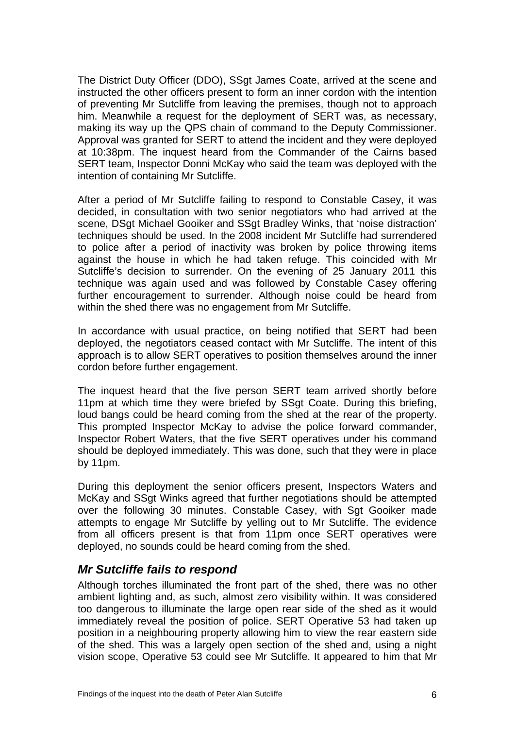The District Duty Officer (DDO), SSgt James Coate, arrived at the scene and instructed the other officers present to form an inner cordon with the intention of preventing Mr Sutcliffe from leaving the premises, though not to approach him. Meanwhile a request for the deployment of SERT was, as necessary, making its way up the QPS chain of command to the Deputy Commissioner. Approval was granted for SERT to attend the incident and they were deployed at 10:38pm. The inquest heard from the Commander of the Cairns based SERT team, Inspector Donni McKay who said the team was deployed with the intention of containing Mr Sutcliffe.

After a period of Mr Sutcliffe failing to respond to Constable Casey, it was decided, in consultation with two senior negotiators who had arrived at the scene, DSgt Michael Gooiker and SSgt Bradley Winks, that 'noise distraction' techniques should be used. In the 2008 incident Mr Sutcliffe had surrendered to police after a period of inactivity was broken by police throwing items against the house in which he had taken refuge. This coincided with Mr Sutcliffe's decision to surrender. On the evening of 25 January 2011 this technique was again used and was followed by Constable Casey offering further encouragement to surrender. Although noise could be heard from within the shed there was no engagement from Mr Sutcliffe.

In accordance with usual practice, on being notified that SERT had been deployed, the negotiators ceased contact with Mr Sutcliffe. The intent of this approach is to allow SERT operatives to position themselves around the inner cordon before further engagement.

The inquest heard that the five person SERT team arrived shortly before 11pm at which time they were briefed by SSqt Coate. During this briefing, loud bangs could be heard coming from the shed at the rear of the property. This prompted Inspector McKay to advise the police forward commander, Inspector Robert Waters, that the five SERT operatives under his command should be deployed immediately. This was done, such that they were in place by 11pm.

During this deployment the senior officers present, Inspectors Waters and McKay and SSgt Winks agreed that further negotiations should be attempted over the following 30 minutes. Constable Casey, with Sgt Gooiker made attempts to engage Mr Sutcliffe by yelling out to Mr Sutcliffe. The evidence from all officers present is that from 11pm once SERT operatives were deployed, no sounds could be heard coming from the shed.

### <span id="page-7-0"></span>*Mr Sutcliffe fails to respond*

Although torches illuminated the front part of the shed, there was no other ambient lighting and, as such, almost zero visibility within. It was considered too dangerous to illuminate the large open rear side of the shed as it would immediately reveal the position of police. SERT Operative 53 had taken up position in a neighbouring property allowing him to view the rear eastern side of the shed. This was a largely open section of the shed and, using a night vision scope, Operative 53 could see Mr Sutcliffe. It appeared to him that Mr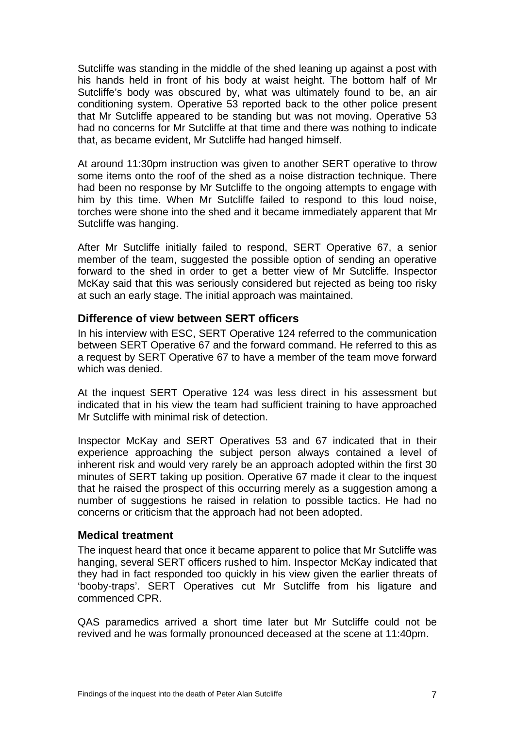Sutcliffe was standing in the middle of the shed leaning up against a post with his hands held in front of his body at waist height. The bottom half of Mr Sutcliffe's body was obscured by, what was ultimately found to be, an air conditioning system. Operative 53 reported back to the other police present that Mr Sutcliffe appeared to be standing but was not moving. Operative 53 had no concerns for Mr Sutcliffe at that time and there was nothing to indicate that, as became evident, Mr Sutcliffe had hanged himself.

At around 11:30pm instruction was given to another SERT operative to throw some items onto the roof of the shed as a noise distraction technique. There had been no response by Mr Sutcliffe to the ongoing attempts to engage with him by this time. When Mr Sutcliffe failed to respond to this loud noise, torches were shone into the shed and it became immediately apparent that Mr Sutcliffe was hanging.

After Mr Sutcliffe initially failed to respond, SERT Operative 67, a senior member of the team, suggested the possible option of sending an operative forward to the shed in order to get a better view of Mr Sutcliffe. Inspector McKay said that this was seriously considered but rejected as being too risky at such an early stage. The initial approach was maintained.

#### **Difference of view between SERT officers**

In his interview with ESC, SERT Operative 124 referred to the communication between SERT Operative 67 and the forward command. He referred to this as a request by SERT Operative 67 to have a member of the team move forward which was denied.

At the inquest SERT Operative 124 was less direct in his assessment but indicated that in his view the team had sufficient training to have approached Mr Sutcliffe with minimal risk of detection.

Inspector McKay and SERT Operatives 53 and 67 indicated that in their experience approaching the subject person always contained a level of inherent risk and would very rarely be an approach adopted within the first 30 minutes of SERT taking up position. Operative 67 made it clear to the inquest that he raised the prospect of this occurring merely as a suggestion among a number of suggestions he raised in relation to possible tactics. He had no concerns or criticism that the approach had not been adopted.

#### **Medical treatment**

The inquest heard that once it became apparent to police that Mr Sutcliffe was hanging, several SERT officers rushed to him. Inspector McKay indicated that they had in fact responded too quickly in his view given the earlier threats of 'booby-traps'. SERT Operatives cut Mr Sutcliffe from his ligature and commenced CPR.

Q AS paramedics arrived a short time later but Mr Sutcliffe could not be r evived and he was formally pronounced deceased at the scene at 11:40pm.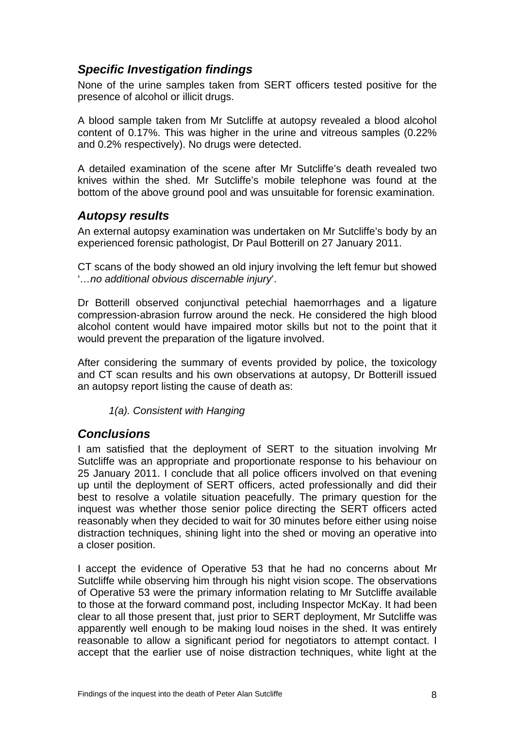# <span id="page-9-0"></span>*Specific Investigation findings*

None of the urine samples taken from SERT officers tested positive for the presence of alcohol or illicit drugs.

A blood sample taken from Mr Sutcliffe at autopsy revealed a blood alcohol content of 0.17%. This was higher in the urine and vitreous samples (0.22% and 0.2% respectively). No drugs were detected.

A detailed examination of the scene after Mr Sutcliffe's death revealed two knives within the shed. Mr Sutcliffe's mobile telephone was found at the bottom of the above ground pool and was unsuitable for forensic examination.

### <span id="page-9-1"></span>*Autopsy results*

An external autopsy examination was undertaken on Mr Sutcliffe's body by an experienced forensic pathologist, Dr Paul Botterill on 27 January 2011.

CT scans of the body showed an old injury involving the left femur but showed '*…no additional obvious discernable injury*'.

Dr Botterill observed conjunctival petechial haemorrhages and a ligature compression-abrasion furrow around the neck. He considered the high blood alcohol content would have impaired motor skills but not to the point that it would prevent the preparation of the ligature involved.

After considering the summary of events provided by police, the toxicology and CT scan results and his own observations at autopsy, Dr Botterill issued an autopsy report listing the cause of death as:

*1(a). Consistent with Hanging* 

### <span id="page-9-2"></span>*Conclusions*

I am satisfied that the deployment of SERT to the situation involving Mr Sutcliffe was an appropriate and proportionate response to his behaviour on 25 January 2011. I conclude that all police officers involved on that evening up until the deployment of SERT officers, acted professionally and did their best to resolve a volatile situation peacefully. The primary question for the inquest was whether those senior police directing the SERT officers acted reasonably when they decided to wait for 30 minutes before either using noise distraction techniques, shining light into the shed or moving an operative into a closer position.

I accept the evidence of Operative 53 that he had no concerns about Mr Sutcliffe while observing him through his night vision scope. The observations of Operative 53 were the primary information relating to Mr Sutcliffe available to those at the forward command post, including Inspector McKay. It had been clear to all those present that, just prior to SERT deployment, Mr Sutcliffe was apparently well enough to be making loud noises in the shed. It was entirely reasonable to allow a significant period for negotiators to attempt contact. I accept that the earlier use of noise distraction techniques, white light at the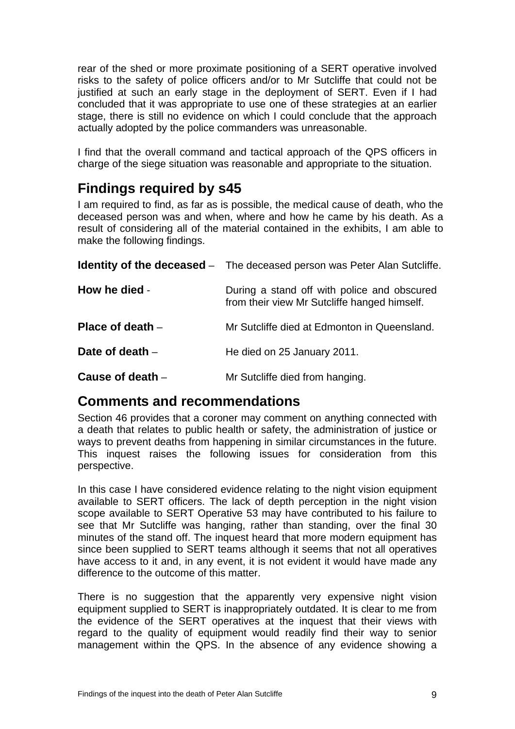rear of the shed or more proximate positioning of a SERT operative involved risks to the safety of police officers and/or to Mr Sutcliffe that could not be justified at such an early stage in the deployment of SERT. Even if I had concluded that it was appropriate to use one of these strategies at an earlier stage, there is still no evidence on which I could conclude that the approach actually adopted by the police commanders was unreasonable.

I find that the overall command and tactical approach of the QPS officers in charge of the siege situation was reasonable and appropriate to the situation.

# <span id="page-10-0"></span>**Findings required by s45**

I am required to find, as far as is possible, the medical cause of death, who the deceased person was and when, where and how he came by his death. As a result of considering all of the material contained in the exhibits, I am able to make the following findings.

<span id="page-10-3"></span><span id="page-10-2"></span><span id="page-10-1"></span>

|                    | <b>Identity of the deceased</b> - The deceased person was Peter Alan Sutcliffe.             |  |
|--------------------|---------------------------------------------------------------------------------------------|--|
| How he died -      | During a stand off with police and obscured<br>from their view Mr Sutcliffe hanged himself. |  |
| Place of death $-$ | Mr Sutcliffe died at Edmonton in Queensland.                                                |  |
| Date of death $-$  | He died on 25 January 2011.                                                                 |  |
| Cause of death -   | Mr Sutcliffe died from hanging.                                                             |  |

# <span id="page-10-6"></span><span id="page-10-5"></span><span id="page-10-4"></span>**Comments and recommendations**

Section 46 provides that a coroner may comment on anything connected with a death that relates to public health or safety, the administration of justice or ways to prevent deaths from happening in similar circumstances in the future. This inquest raises the following issues for consideration from this perspective.

In this case I have considered evidence relating to the night vision equipment available to SERT officers. The lack of depth perception in the night vision scope available to SERT Operative 53 may have contributed to his failure to see that Mr Sutcliffe was hanging, rather than standing, over the final 30 minutes of the stand off. The inquest heard that more modern equipment has since been supplied to SERT teams although it seems that not all operatives have access to it and, in any event, it is not evident it would have made any difference to the outcome of this matter.

There is no suggestion that the apparently very expensive night vision equipment supplied to SERT is inappropriately outdated. It is clear to me from the evidence of the SERT operatives at the inquest that their views with regard to the quality of equipment would readily find their way to senior management within the QPS. In the absence of any evidence showing a